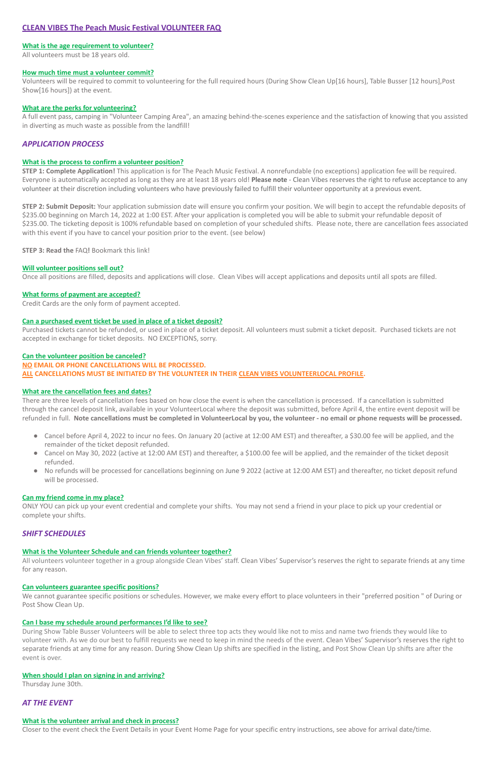# **CLEAN VIBES The Peach Music Festival VOLUNTEER FAQ**

## **What is the age requirement to volunteer?**

All volunteers must be 18 years old.

### **How much time must a volunteer commit?**

Volunteers will be required to commit to volunteering for the full required hours (During Show Clean Up[16 hours], Table Busser [12 hours],Post Show[16 hours]) at the event.

### **What are the perks for volunteering?**

A full event pass, camping in "Volunteer Camping Area", an amazing behind-the-scenes experience and the satisfaction of knowing that you assisted in diverting as much waste as possible from the landfill!

# *APPLICATION PROCESS*

### **What is the process to confirm a volunteer position?**

**STEP 1: Complete Application!** This application is for The Peach Music Festival. A nonrefundable (no exceptions) application fee will be required. Everyone is automatically accepted as long as they are at least 18 years old! **Please note** - Clean Vibes reserves the right to refuse acceptance to any volunteer at their discretion including volunteers who have previously failed to fulfill their volunteer opportunity at a previous event.

**STEP 2: Submit Deposit:** Your application submission date will ensure you confirm your position. We will begin to accept the refundable deposits of \$235.00 beginning on March 14, 2022 at 1:00 EST. After your application is completed you will be able to submit your refundable deposit of \$235.00. The ticketing deposit is 100% refundable based on completion of your scheduled shifts. Please note, there are cancellation fees associated with this event if you have to cancel your position prior to the event. (see below)

**STEP 3: Read the** FAQ**!** Bookmark this link!

## **Will volunteer positions sell out?**

Once all positions are filled, deposits and applications will close. Clean Vibes will accept applications and deposits until all spots are filled.

## **What forms of payment are accepted?**

Credit Cards are the only form of payment accepted.

## **Can a purchased event ticket be used in place of a ticket deposit?**

Purchased tickets cannot be refunded, or used in place of a ticket deposit. All volunteers must submit a ticket deposit. Purchased tickets are not accepted in exchange for ticket deposits. NO EXCEPTIONS, sorry.

#### **Can the volunteer position be canceled?**

#### **NO EMAIL OR PHONE CANCELLATIONS WILL BE PROCESSED.**

**ALL CANCELLATIONS MUST BE INITIATED BY THE VOLUNTEER IN THEIR CLEAN VIBES VOLUNTEERLOCAL PROFILE.**

## **What are the cancellation fees and dates?**

There are three levels of cancellation fees based on how close the event is when the cancellation is processed. If a cancellation is submitted through the cancel deposit link, available in your VolunteerLocal where the deposit was submitted, before April 4, the entire event deposit will be refunded in full. **Note cancellations must be completed in VolunteerLocal by you, the volunteer - no email or phone requests will be processed.**

- Cancel before April 4, 2022 to incur no fees. On January 20 (active at 12:00 AM EST) and thereafter, a \$30.00 fee will be applied, and the remainder of the ticket deposit refunded.
- Cancel on May 30, 2022 (active at 12:00 AM EST) and thereafter, a \$100.00 fee will be applied, and the remainder of the ticket deposit refunded.
- No refunds will be processed for cancellations beginning on June 9 2022 (active at 12:00 AM EST) and thereafter, no ticket deposit refund will be processed.

#### **Can my friend come in my place?**

ONLY YOU can pick up your event credential and complete your shifts. You may not send a friend in your place to pick up your credential or complete your shifts.

# *SHIFT SCHEDULES*

# **What is the Volunteer Schedule and can friends volunteer together?**

All volunteers volunteer together in a group alongside Clean Vibes' staff. Clean Vibes' Supervisor's reserves the right to separate friends at any time for any reason.

### **Can volunteers guarantee specific positions?**

We cannot guarantee specific positions or schedules. However, we make every effort to place volunteers in their "preferred position " of During or Post Show Clean Up.

## **Can I base my schedule around performances I'd like to see?**

During Show Table Busser Volunteers will be able to select three top acts they would like not to miss and name two friends they would like to volunteer with. As we do our best to fulfill requests we need to keep in mind the needs of the event. Clean Vibes' Supervisor's reserves the right to separate friends at any time for any reason. During Show Clean Up shifts are specified in the listing, and Post Show Clean Up shifts are after the event is over.

### **When should I plan on signing in and arriving?**

Thursday June 30th.

# *AT THE EVENT*

### **What is the volunteer arrival and check in process?**

Closer to the event check the Event Details in your Event Home Page for your specific entry instructions, see above for arrival date/time.